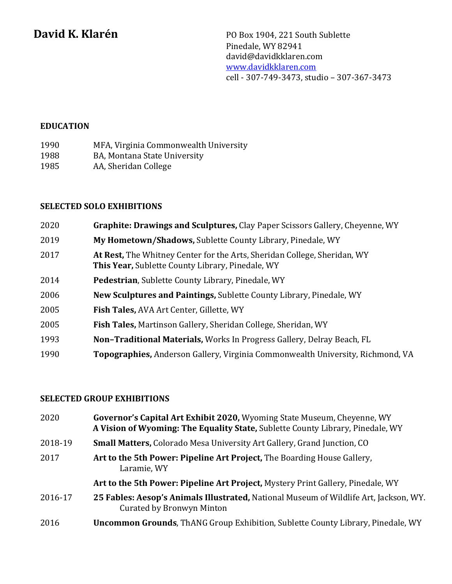**David K. Klarén** PO Box 1904, 221 South Sublette Pinedale, WY 82941 david@davidkklaren.com www.davidkklaren.com cell - 307-749-3473, studio – 307-367-3473

## **EDUCATION**

| 1990 | MFA, Virginia Commonwealth University |
|------|---------------------------------------|
| 1988 | BA, Montana State University          |

1985 AA, Sheridan College

## **SELECTED SOLO EXHIBITIONS**

| 2020 | Graphite: Drawings and Sculptures, Clay Paper Scissors Gallery, Cheyenne, WY                                                        |
|------|-------------------------------------------------------------------------------------------------------------------------------------|
| 2019 | My Hometown/Shadows, Sublette County Library, Pinedale, WY                                                                          |
| 2017 | At Rest, The Whitney Center for the Arts, Sheridan College, Sheridan, WY<br><b>This Year, Sublette County Library, Pinedale, WY</b> |
| 2014 | Pedestrian, Sublette County Library, Pinedale, WY                                                                                   |
| 2006 | New Sculptures and Paintings, Sublette County Library, Pinedale, WY                                                                 |
| 2005 | Fish Tales, AVA Art Center, Gillette, WY                                                                                            |
| 2005 | <b>Fish Tales, Martinson Gallery, Sheridan College, Sheridan, WY</b>                                                                |
| 1993 | Non-Traditional Materials, Works In Progress Gallery, Delray Beach, FL                                                              |
| 1990 | Topographies, Anderson Gallery, Virginia Commonwealth University, Richmond, VA                                                      |

# **SELECTED GROUP EXHIBITIONS**

| 2020    | Governor's Capital Art Exhibit 2020, Wyoming State Museum, Cheyenne, WY<br>A Vision of Wyoming: The Equality State, Sublette County Library, Pinedale, WY |
|---------|-----------------------------------------------------------------------------------------------------------------------------------------------------------|
| 2018-19 | <b>Small Matters, Colorado Mesa University Art Gallery, Grand Junction, CO</b>                                                                            |
| 2017    | Art to the 5th Power: Pipeline Art Project, The Boarding House Gallery,<br>Laramie, WY                                                                    |
|         | Art to the 5th Power: Pipeline Art Project, Mystery Print Gallery, Pinedale, WY                                                                           |
| 2016-17 | 25 Fables: Aesop's Animals Illustrated, National Museum of Wildlife Art, Jackson, WY.<br>Curated by Bronwyn Minton                                        |
| 2016    | <b>Uncommon Grounds, ThANG Group Exhibition, Sublette County Library, Pinedale, WY</b>                                                                    |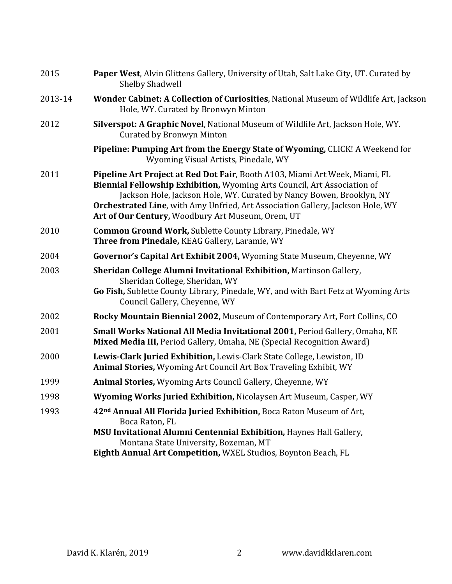| 2015    | Paper West, Alvin Glittens Gallery, University of Utah, Salt Lake City, UT. Curated by<br><b>Shelby Shadwell</b>                                                                                                                                                                                                                                                              |
|---------|-------------------------------------------------------------------------------------------------------------------------------------------------------------------------------------------------------------------------------------------------------------------------------------------------------------------------------------------------------------------------------|
| 2013-14 | Wonder Cabinet: A Collection of Curiosities, National Museum of Wildlife Art, Jackson<br>Hole, WY. Curated by Bronwyn Minton                                                                                                                                                                                                                                                  |
| 2012    | Silverspot: A Graphic Novel, National Museum of Wildlife Art, Jackson Hole, WY.<br><b>Curated by Bronwyn Minton</b>                                                                                                                                                                                                                                                           |
|         | Pipeline: Pumping Art from the Energy State of Wyoming, CLICK! A Weekend for<br>Wyoming Visual Artists, Pinedale, WY                                                                                                                                                                                                                                                          |
| 2011    | Pipeline Art Project at Red Dot Fair, Booth A103, Miami Art Week, Miami, FL<br>Biennial Fellowship Exhibition, Wyoming Arts Council, Art Association of<br>Jackson Hole, Jackson Hole, WY. Curated by Nancy Bowen, Brooklyn, NY<br><b>Orchestrated Line, with Amy Unfried, Art Association Gallery, Jackson Hole, WY</b><br>Art of Our Century, Woodbury Art Museum, Orem, UT |
| 2010    | <b>Common Ground Work, Sublette County Library, Pinedale, WY</b><br>Three from Pinedale, KEAG Gallery, Laramie, WY                                                                                                                                                                                                                                                            |
| 2004    | Governor's Capital Art Exhibit 2004, Wyoming State Museum, Cheyenne, WY                                                                                                                                                                                                                                                                                                       |
| 2003    | Sheridan College Alumni Invitational Exhibition, Martinson Gallery,<br>Sheridan College, Sheridan, WY<br>Go Fish, Sublette County Library, Pinedale, WY, and with Bart Fetz at Wyoming Arts<br>Council Gallery, Cheyenne, WY                                                                                                                                                  |
| 2002    | Rocky Mountain Biennial 2002, Museum of Contemporary Art, Fort Collins, CO                                                                                                                                                                                                                                                                                                    |
| 2001    | Small Works National All Media Invitational 2001, Period Gallery, Omaha, NE<br>Mixed Media III, Period Gallery, Omaha, NE (Special Recognition Award)                                                                                                                                                                                                                         |
| 2000    | Lewis-Clark Juried Exhibition, Lewis-Clark State College, Lewiston, ID<br>Animal Stories, Wyoming Art Council Art Box Traveling Exhibit, WY                                                                                                                                                                                                                                   |
| 1999    | Animal Stories, Wyoming Arts Council Gallery, Cheyenne, WY                                                                                                                                                                                                                                                                                                                    |
| 1998    | <b>Wyoming Works Juried Exhibition, Nicolaysen Art Museum, Casper, WY</b>                                                                                                                                                                                                                                                                                                     |
| 1993    | 42 <sup>nd</sup> Annual All Florida Juried Exhibition, Boca Raton Museum of Art,<br>Boca Raton, FL<br>MSU Invitational Alumni Centennial Exhibition, Haynes Hall Gallery,                                                                                                                                                                                                     |
|         | Montana State University, Bozeman, MT                                                                                                                                                                                                                                                                                                                                         |
|         | Eighth Annual Art Competition, WXEL Studios, Boynton Beach, FL                                                                                                                                                                                                                                                                                                                |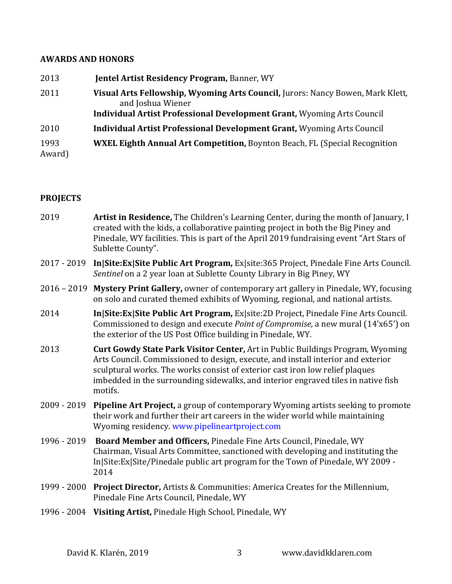# **AWARDS AND HONORS**

| 2013           | <b>Jentel Artist Residency Program, Banner, WY</b>                                                                                                                                   |
|----------------|--------------------------------------------------------------------------------------------------------------------------------------------------------------------------------------|
| 2011           | Visual Arts Fellowship, Wyoming Arts Council, Jurors: Nancy Bowen, Mark Klett,<br>and Joshua Wiener<br><b>Individual Artist Professional Development Grant, Wyoming Arts Council</b> |
| 2010           | <b>Individual Artist Professional Development Grant, Wyoming Arts Council</b>                                                                                                        |
| 1993<br>Award) | <b>WXEL Eighth Annual Art Competition, Boynton Beach, FL (Special Recognition)</b>                                                                                                   |

# **PROJECTS**

| 2019        | Artist in Residence, The Children's Learning Center, during the month of January, I<br>created with the kids, a collaborative painting project in both the Big Piney and<br>Pinedale, WY facilities. This is part of the April 2019 fundraising event "Art Stars of<br>Sublette County".                                                           |
|-------------|----------------------------------------------------------------------------------------------------------------------------------------------------------------------------------------------------------------------------------------------------------------------------------------------------------------------------------------------------|
|             | 2017 - 2019 In Site: Ex Site Public Art Program, Ex site: 365 Project, Pinedale Fine Arts Council.<br>Sentinel on a 2 year loan at Sublette County Library in Big Piney, WY                                                                                                                                                                        |
|             | 2016 - 2019 Mystery Print Gallery, owner of contemporary art gallery in Pinedale, WY, focusing<br>on solo and curated themed exhibits of Wyoming, regional, and national artists.                                                                                                                                                                  |
| 2014        | In Site: Ex Site Public Art Program, Ex site: 2D Project, Pinedale Fine Arts Council.<br>Commissioned to design and execute Point of Compromise, a new mural (14'x65') on<br>the exterior of the US Post Office building in Pinedale, WY.                                                                                                          |
| 2013        | Curt Gowdy State Park Visitor Center, Art in Public Buildings Program, Wyoming<br>Arts Council. Commissioned to design, execute, and install interior and exterior<br>sculptural works. The works consist of exterior cast iron low relief plaques<br>imbedded in the surrounding sidewalks, and interior engraved tiles in native fish<br>motifs. |
| 2009 - 2019 | Pipeline Art Project, a group of contemporary Wyoming artists seeking to promote<br>their work and further their art careers in the wider world while maintaining<br>Wyoming residency. www.pipelineartproject.com                                                                                                                                 |
| 1996 - 2019 | Board Member and Officers, Pinedale Fine Arts Council, Pinedale, WY<br>Chairman, Visual Arts Committee, sanctioned with developing and instituting the<br>In Site: Ex Site/Pinedale public art program for the Town of Pinedale, WY 2009 -<br>2014                                                                                                 |
| 1999 - 2000 | Project Director, Artists & Communities: America Creates for the Millennium,<br>Pinedale Fine Arts Council, Pinedale, WY                                                                                                                                                                                                                           |
|             | 1996 - 2004 Visiting Artist, Pinedale High School, Pinedale, WY                                                                                                                                                                                                                                                                                    |
|             |                                                                                                                                                                                                                                                                                                                                                    |